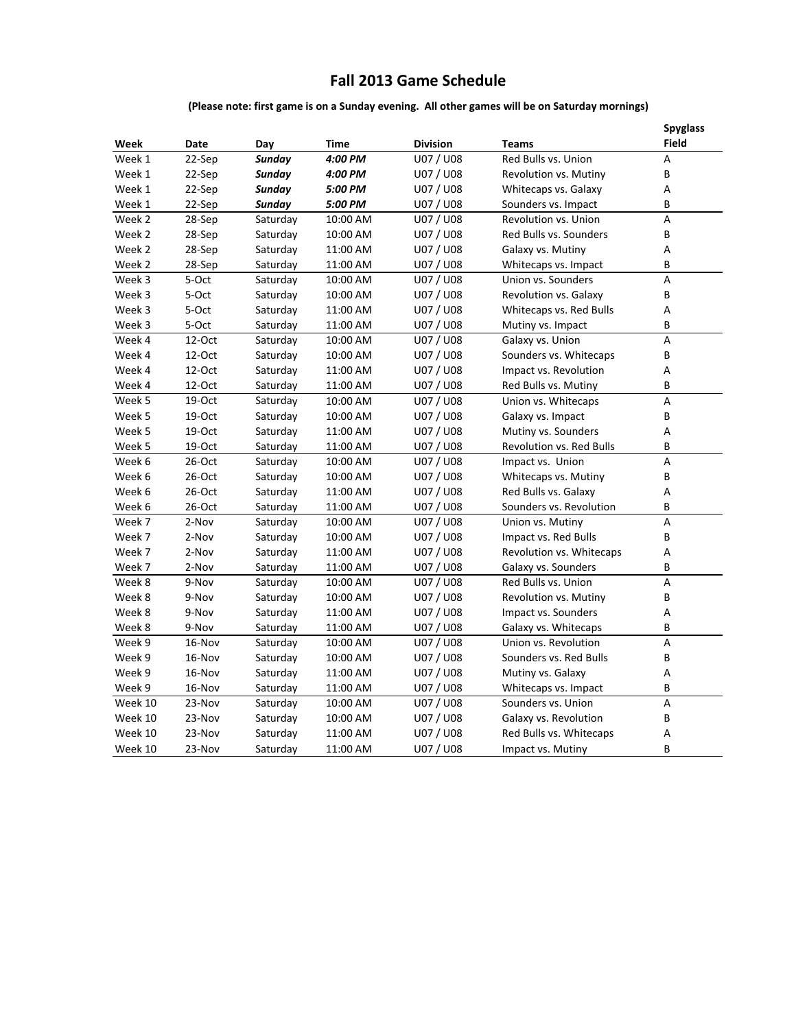# **Fall 2013 Game Schedule**

## **(Please note: first game is on a Sunday evening. All other games will be on Saturday mornings)**

| Week    | Date      | Day      | <b>Time</b> | <b>Division</b> | <b>Teams</b>                    | <b>Spyglass</b><br><b>Field</b> |
|---------|-----------|----------|-------------|-----------------|---------------------------------|---------------------------------|
| Week 1  | 22-Sep    | Sunday   | 4:00 PM     | U07 / U08       | Red Bulls vs. Union             | A                               |
| Week 1  | 22-Sep    | Sunday   | 4:00 PM     | U07 / U08       | Revolution vs. Mutiny           | В                               |
| Week 1  | 22-Sep    | Sunday   | 5:00 PM     | U07 / U08       | Whitecaps vs. Galaxy            | А                               |
| Week 1  | 22-Sep    | Sunday   | 5:00 PM     | U07 / U08       | Sounders vs. Impact             | B                               |
| Week 2  | 28-Sep    | Saturday | 10:00 AM    | U07 / U08       | Revolution vs. Union            | А                               |
| Week 2  | 28-Sep    | Saturday | 10:00 AM    | U07 / U08       | Red Bulls vs. Sounders          | B                               |
| Week 2  | 28-Sep    | Saturday | 11:00 AM    | U07 / U08       | Galaxy vs. Mutiny               | А                               |
| Week 2  | 28-Sep    | Saturday | 11:00 AM    | U07 / U08       | Whitecaps vs. Impact            | B                               |
| Week 3  | 5-Oct     | Saturday | 10:00 AM    | U07 / U08       | Union vs. Sounders              | А                               |
| Week 3  | 5-Oct     | Saturday | 10:00 AM    | U07 / U08       | Revolution vs. Galaxy           | В                               |
| Week 3  | 5-Oct     | Saturday | 11:00 AM    | U07 / U08       | Whitecaps vs. Red Bulls         | А                               |
| Week 3  | 5-Oct     | Saturday | 11:00 AM    | U07 / U08       | Mutiny vs. Impact               | В                               |
| Week 4  | $12$ -Oct | Saturday | 10:00 AM    | U07 / U08       | Galaxy vs. Union                | A                               |
| Week 4  | 12-Oct    | Saturday | 10:00 AM    | U07 / U08       | Sounders vs. Whitecaps          | В                               |
| Week 4  | 12-Oct    | Saturday | 11:00 AM    | U07 / U08       | Impact vs. Revolution           | А                               |
| Week 4  | $12$ -Oct | Saturday | 11:00 AM    | U07 / U08       | Red Bulls vs. Mutiny            | B                               |
| Week 5  | 19-Oct    | Saturday | 10:00 AM    | U07 / U08       | Union vs. Whitecaps             | А                               |
| Week 5  | 19-Oct    | Saturday | 10:00 AM    | U07 / U08       | Galaxy vs. Impact               | B                               |
| Week 5  | 19-Oct    | Saturday | 11:00 AM    | U07 / U08       | Mutiny vs. Sounders             | А                               |
| Week 5  | 19-Oct    | Saturday | 11:00 AM    | U07 / U08       | <b>Revolution vs. Red Bulls</b> | B                               |
| Week 6  | $26-Oct$  | Saturday | 10:00 AM    | U07 / U08       | Impact vs. Union                | $\overline{\mathsf{A}}$         |
| Week 6  | 26-Oct    | Saturday | 10:00 AM    | U07 / U08       | Whitecaps vs. Mutiny            | В                               |
| Week 6  | 26-Oct    | Saturday | 11:00 AM    | U07 / U08       | Red Bulls vs. Galaxy            | А                               |
| Week 6  | $26$ -Oct | Saturday | 11:00 AM    | U07 / U08       | Sounders vs. Revolution         | В                               |
| Week 7  | 2-Nov     | Saturday | 10:00 AM    | U07 / U08       | Union vs. Mutiny                | А                               |
| Week 7  | 2-Nov     | Saturday | 10:00 AM    | U07 / U08       | Impact vs. Red Bulls            | В                               |
| Week 7  | 2-Nov     | Saturday | 11:00 AM    | U07 / U08       | Revolution vs. Whitecaps        | А                               |
| Week 7  | 2-Nov     | Saturday | 11:00 AM    | U07 / U08       | Galaxy vs. Sounders             | B                               |
| Week 8  | 9-Nov     | Saturday | 10:00 AM    | U07 / U08       | Red Bulls vs. Union             | А                               |
| Week 8  | 9-Nov     | Saturday | 10:00 AM    | U07 / U08       | Revolution vs. Mutiny           | В                               |
| Week 8  | 9-Nov     | Saturday | 11:00 AM    | U07 / U08       | Impact vs. Sounders             | А                               |
| Week 8  | 9-Nov     | Saturday | 11:00 AM    | U07 / U08       | Galaxy vs. Whitecaps            | В                               |
| Week 9  | 16-Nov    | Saturday | 10:00 AM    | U07 / U08       | Union vs. Revolution            | А                               |
| Week 9  | 16-Nov    | Saturday | 10:00 AM    | U07 / U08       | Sounders vs. Red Bulls          | В                               |
| Week 9  | 16-Nov    | Saturday | 11:00 AM    | U07 / U08       | Mutiny vs. Galaxy               | А                               |
| Week 9  | 16-Nov    | Saturday | 11:00 AM    | U07 / U08       | Whitecaps vs. Impact            | В                               |
| Week 10 | 23-Nov    | Saturday | 10:00 AM    | U07 / U08       | Sounders vs. Union              | А                               |
| Week 10 | 23-Nov    | Saturday | 10:00 AM    | U07 / U08       | Galaxy vs. Revolution           | B                               |
| Week 10 | 23-Nov    | Saturday | 11:00 AM    | U07 / U08       | Red Bulls vs. Whitecaps         | А                               |
| Week 10 | 23-Nov    | Saturday | 11:00 AM    | U07 / U08       | Impact vs. Mutiny               | В                               |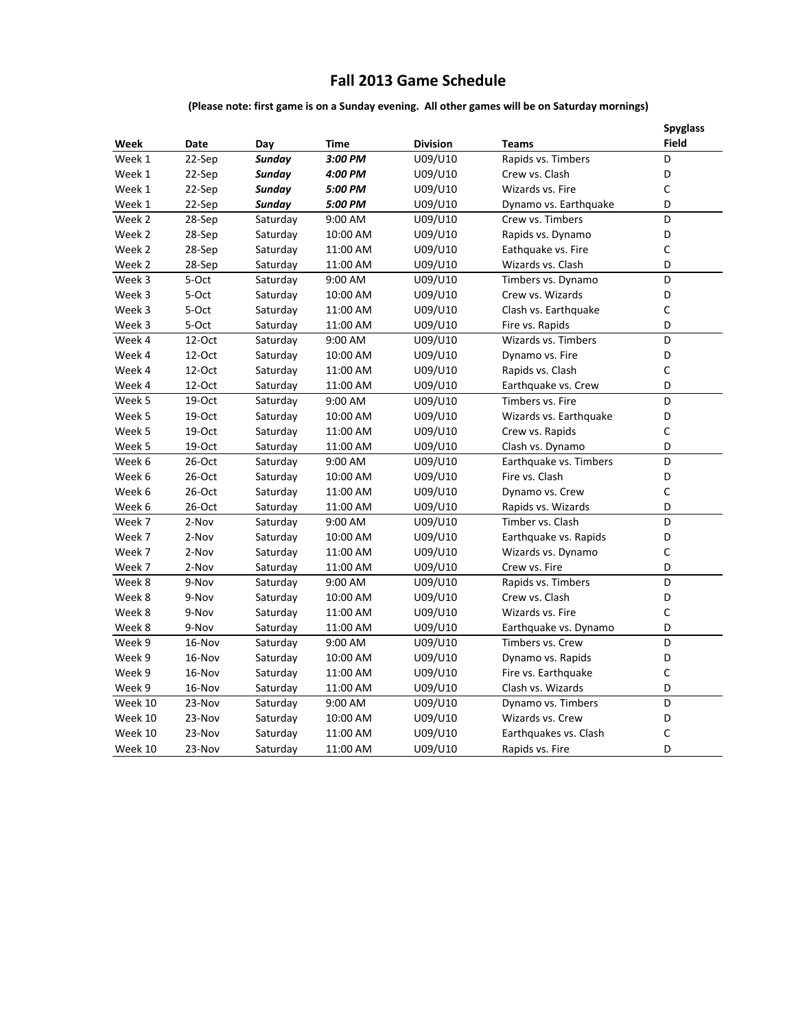# **Fall 2013 Game Schedule**

## **(Please note: first game is on a Sunday evening. All other games will be on Saturday mornings)**

| Week    | Date      | Day           | Time     | <b>Division</b> | <b>Teams</b>           | <b>Spyglass</b><br>Field |
|---------|-----------|---------------|----------|-----------------|------------------------|--------------------------|
| Week 1  | 22-Sep    | <b>Sunday</b> | 3:00 PM  | U09/U10         | Rapids vs. Timbers     | D                        |
| Week 1  | 22-Sep    | Sunday        | 4:00 PM  | U09/U10         | Crew vs. Clash         | D                        |
| Week 1  | 22-Sep    | <b>Sunday</b> | 5:00 PM  | U09/U10         | Wizards vs. Fire       | C                        |
| Week 1  | 22-Sep    | Sunday        | 5:00 PM  | U09/U10         | Dynamo vs. Earthquake  | D                        |
| Week 2  | 28-Sep    | Saturday      | 9:00 AM  | U09/U10         | Crew vs. Timbers       | D                        |
| Week 2  | 28-Sep    | Saturday      | 10:00 AM | U09/U10         | Rapids vs. Dynamo      | D                        |
| Week 2  | 28-Sep    | Saturday      | 11:00 AM | U09/U10         | Eathquake vs. Fire     | C                        |
| Week 2  | 28-Sep    | Saturday      | 11:00 AM | U09/U10         | Wizards vs. Clash      | D                        |
| Week 3  | 5-Oct     | Saturday      | 9:00 AM  | U09/U10         | Timbers vs. Dynamo     | D                        |
| Week 3  | 5-Oct     | Saturday      | 10:00 AM | U09/U10         | Crew vs. Wizards       | D                        |
| Week 3  | 5-Oct     | Saturday      | 11:00 AM | U09/U10         | Clash vs. Earthquake   | C                        |
| Week 3  | 5-Oct     | Saturday      | 11:00 AM | U09/U10         | Fire vs. Rapids        | D                        |
| Week 4  | 12-Oct    | Saturday      | 9:00 AM  | U09/U10         | Wizards vs. Timbers    | D                        |
| Week 4  | $12$ -Oct | Saturday      | 10:00 AM | U09/U10         | Dynamo vs. Fire        | D                        |
| Week 4  | 12-Oct    | Saturday      | 11:00 AM | U09/U10         | Rapids vs. Clash       | C                        |
| Week 4  | $12$ -Oct | Saturday      | 11:00 AM | U09/U10         | Earthquake vs. Crew    | D                        |
| Week 5  | 19-Oct    | Saturday      | 9:00 AM  | U09/U10         | Timbers vs. Fire       | D                        |
| Week 5  | 19-Oct    | Saturday      | 10:00 AM | U09/U10         | Wizards vs. Earthquake | D                        |
| Week 5  | 19-Oct    | Saturday      | 11:00 AM | U09/U10         | Crew vs. Rapids        | C                        |
| Week 5  | 19-Oct    | Saturday      | 11:00 AM | U09/U10         | Clash vs. Dynamo       | D                        |
| Week 6  | 26-Oct    | Saturday      | 9:00 AM  | U09/U10         | Earthquake vs. Timbers | D                        |
| Week 6  | 26-Oct    | Saturday      | 10:00 AM | U09/U10         | Fire vs. Clash         | D                        |
| Week 6  | 26-Oct    | Saturday      | 11:00 AM | U09/U10         | Dynamo vs. Crew        | $\mathsf C$              |
| Week 6  | 26-Oct    | Saturday      | 11:00 AM | U09/U10         | Rapids vs. Wizards     | D                        |
| Week 7  | 2-Nov     | Saturday      | 9:00 AM  | U09/U10         | Timber vs. Clash       | D                        |
| Week 7  | 2-Nov     | Saturday      | 10:00 AM | U09/U10         | Earthquake vs. Rapids  | D                        |
| Week 7  | 2-Nov     | Saturday      | 11:00 AM | U09/U10         | Wizards vs. Dynamo     | C                        |
| Week 7  | 2-Nov     | Saturday      | 11:00 AM | U09/U10         | Crew vs. Fire          | D                        |
| Week 8  | 9-Nov     | Saturday      | 9:00 AM  | U09/U10         | Rapids vs. Timbers     | D                        |
| Week 8  | 9-Nov     | Saturday      | 10:00 AM | U09/U10         | Crew vs. Clash         | D                        |
| Week 8  | 9-Nov     | Saturday      | 11:00 AM | U09/U10         | Wizards vs. Fire       | C                        |
| Week 8  | 9-Nov     | Saturday      | 11:00 AM | U09/U10         | Earthquake vs. Dynamo  | D                        |
| Week 9  | 16-Nov    | Saturday      | 9:00 AM  | U09/U10         | Timbers vs. Crew       | D                        |
| Week 9  | 16-Nov    | Saturday      | 10:00 AM | U09/U10         | Dynamo vs. Rapids      | D                        |
| Week 9  | 16-Nov    | Saturday      | 11:00 AM | U09/U10         | Fire vs. Earthquake    | C                        |
| Week 9  | 16-Nov    | Saturday      | 11:00 AM | U09/U10         | Clash vs. Wizards      | D                        |
| Week 10 | 23-Nov    | Saturday      | 9:00 AM  | U09/U10         | Dynamo vs. Timbers     | D                        |
| Week 10 | 23-Nov    | Saturday      | 10:00 AM | U09/U10         | Wizards vs. Crew       | D                        |
| Week 10 | 23-Nov    | Saturday      | 11:00 AM | U09/U10         | Earthquakes vs. Clash  | $\mathsf C$              |
| Week 10 | 23-Nov    | Saturday      | 11:00 AM | U09/U10         | Rapids vs. Fire        | D                        |